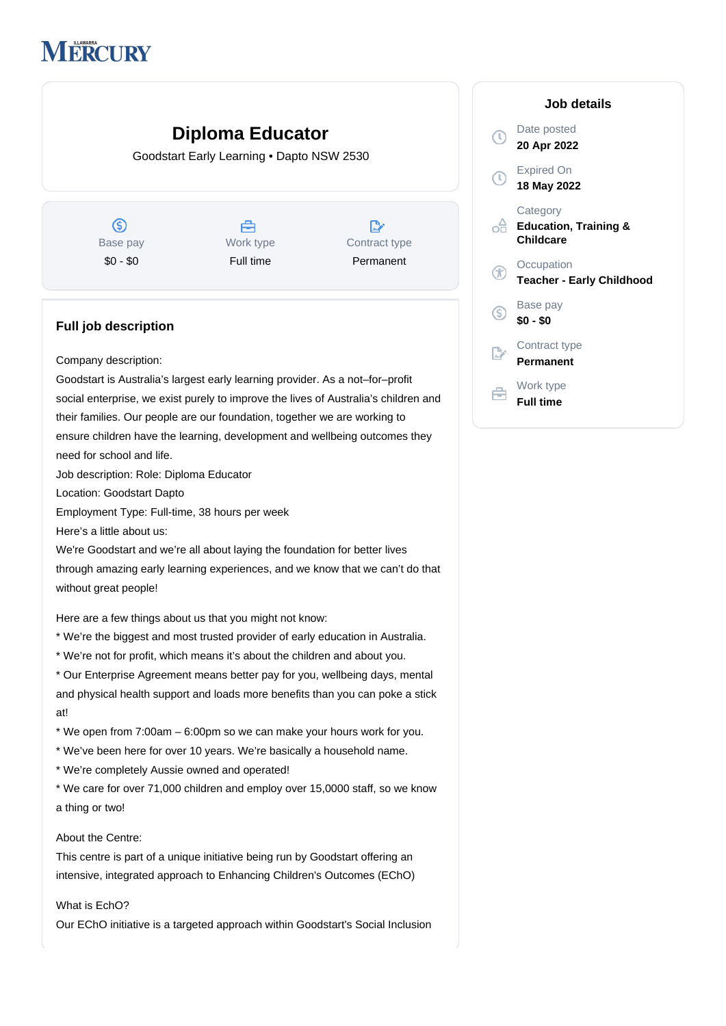# **MERCURY**

# **Diploma Educator**

Goodstart Early Learning • Dapto NSW 2530

 $\circledS$ Base pay \$0 - \$0

Å Work type Full time

 $\mathbb{D}$ Contract type Permanent

## **Full job description**

Company description:

Goodstart is Australia's largest early learning provider. As a not–for–profit social enterprise, we exist purely to improve the lives of Australia's children and their families. Our people are our foundation, together we are working to ensure children have the learning, development and wellbeing outcomes they need for school and life.

Job description: Role: Diploma Educator

Location: Goodstart Dapto

Employment Type: Full-time, 38 hours per week

Here's a little about us:

We're Goodstart and we're all about laying the foundation for better lives

through amazing early learning experiences, and we know that we can't do that without great people!

Here are a few things about us that you might not know:

- \* We're the biggest and most trusted provider of early education in Australia.
- \* We're not for profit, which means it's about the children and about you.

\* Our Enterprise Agreement means better pay for you, wellbeing days, mental and physical health support and loads more benefits than you can poke a stick at!

\* We open from 7:00am – 6:00pm so we can make your hours work for you.

- \* We've been here for over 10 years. We're basically a household name.
- \* We're completely Aussie owned and operated!

\* We care for over 71,000 children and employ over 15,0000 staff, so we know a thing or two!

#### About the Centre:

This centre is part of a unique initiative being run by Goodstart offering an intensive, integrated approach to Enhancing Children's Outcomes (EChO)

### What is EchO?

Our EChO initiative is a targeted approach within Goodstart's Social Inclusion

|                   | Job details                                               |
|-------------------|-----------------------------------------------------------|
| $\left( 0\right)$ | Date posted<br>20 Apr 2022                                |
| T)                | <b>Expired On</b><br>18 May 2022                          |
|                   | Category<br><b>Education, Training &amp;</b><br>Childcare |
|                   | Occupation<br><b>Teacher - Early Childhood</b>            |
| G.                | Base pay<br>\$0 - \$0                                     |
|                   | Contract type<br>Permanent                                |
|                   | Work type<br>Full time                                    |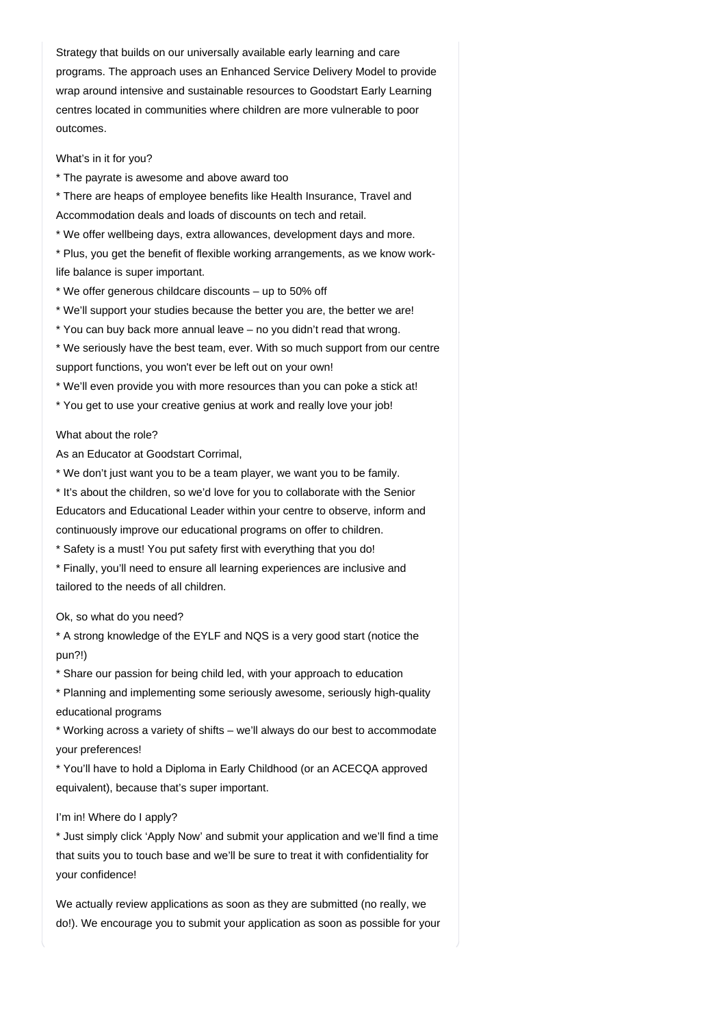Strategy that builds on our universally available early learning and care programs. The approach uses an Enhanced Service Delivery Model to provide wrap around intensive and sustainable resources to Goodstart Early Learning centres located in communities where children are more vulnerable to poor outcomes.

What's in it for you?

\* The payrate is awesome and above award too

\* There are heaps of employee benefits like Health Insurance, Travel and Accommodation deals and loads of discounts on tech and retail.

\* We offer wellbeing days, extra allowances, development days and more.

\* Plus, you get the benefit of flexible working arrangements, as we know worklife balance is super important.

\* We offer generous childcare discounts – up to 50% off

\* We'll support your studies because the better you are, the better we are!

\* You can buy back more annual leave – no you didn't read that wrong.

\* We seriously have the best team, ever. With so much support from our centre support functions, you won't ever be left out on your own!

\* We'll even provide you with more resources than you can poke a stick at!

\* You get to use your creative genius at work and really love your job!

#### What about the role?

As an Educator at Goodstart Corrimal,

\* We don't just want you to be a team player, we want you to be family.

\* It's about the children, so we'd love for you to collaborate with the Senior Educators and Educational Leader within your centre to observe, inform and continuously improve our educational programs on offer to children.

\* Safety is a must! You put safety first with everything that you do!

\* Finally, you'll need to ensure all learning experiences are inclusive and tailored to the needs of all children.

Ok, so what do you need?

\* A strong knowledge of the EYLF and NQS is a very good start (notice the pun?!)

\* Share our passion for being child led, with your approach to education

\* Planning and implementing some seriously awesome, seriously high-quality educational programs

\* Working across a variety of shifts – we'll always do our best to accommodate your preferences!

\* You'll have to hold a Diploma in Early Childhood (or an ACECQA approved equivalent), because that's super important.

#### I'm in! Where do I apply?

\* Just simply click 'Apply Now' and submit your application and we'll find a time that suits you to touch base and we'll be sure to treat it with confidentiality for your confidence!

We actually review applications as soon as they are submitted (no really, we do!). We encourage you to submit your application as soon as possible for your